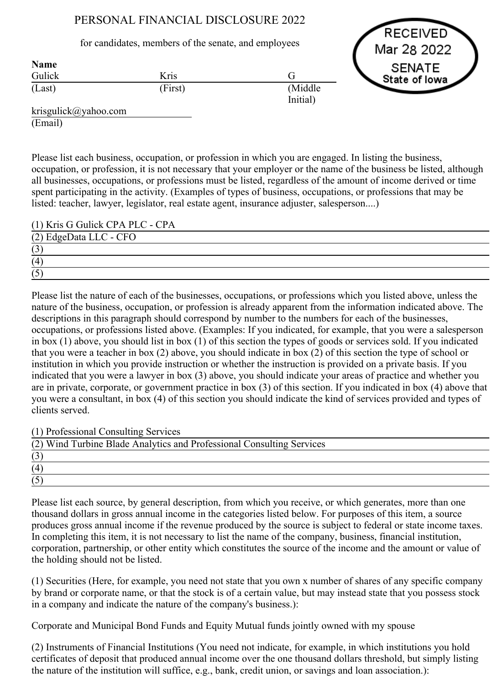## PERSONAL FINANCIAL DISCLOSURE 2022

for candidates, members of the senate, and employees

Gulick (Last) Kris (First) G (Middle Initial) Name



krisgulick@yahoo.com (Email)

Please list each business, occupation, or profession in which you are engaged. In listing the business, occupation, or profession, it is not necessary that your employer or the name of the business be listed, although all businesses, occupations, or professions must be listed, regardless of the amount of income derived or time spent participating in the activity. (Examples of types of business, occupations, or professions that may be listed: teacher, lawyer, legislator, real estate agent, insurance adjuster, salesperson....)

(1) Kris G Gulick CPA PLC CPA

| (2) EdgeData LLC - CFO |  |
|------------------------|--|
| $\Delta$<br>ι J        |  |
| (4)                    |  |
| (5)<br>U               |  |

Please list the nature of each of the businesses, occupations, or professions which you listed above, unless the nature of the business, occupation, or profession is already apparent from the information indicated above. The descriptions in this paragraph should correspond by number to the numbers for each of the businesses, occupations, or professions listed above. (Examples: If you indicated, for example, that you were a salesperson in box (1) above, you should list in box (1) of this section the types of goods or services sold. If you indicated that you were a teacher in box (2) above, you should indicate in box (2) of this section the type of school or institution in which you provide instruction or whether the instruction is provided on a private basis. If you indicated that you were a lawyer in box (3) above, you should indicate your areas of practice and whether you are in private, corporate, or government practice in box (3) of this section. If you indicated in box (4) above that you were a consultant, in box (4) of this section you should indicate the kind of services provided and types of clients served.

(1) Professional Consulting Services

| (2) Wind Turbine Blade Analytics and Professional Consulting Services |  |
|-----------------------------------------------------------------------|--|
|                                                                       |  |
| (4)                                                                   |  |
|                                                                       |  |

Please list each source, by general description, from which you receive, or which generates, more than one thousand dollars in gross annual income in the categories listed below. For purposes of this item, a source produces gross annual income if the revenue produced by the source is subject to federal or state income taxes. In completing this item, it is not necessary to list the name of the company, business, financial institution, corporation, partnership, or other entity which constitutes the source of the income and the amount or value of the holding should not be listed.

(1) Securities (Here, for example, you need not state that you own x number of shares of any specific company by brand or corporate name, or that the stock is of a certain value, but may instead state that you possess stock in a company and indicate the nature of the company's business.):

Corporate and Municipal Bond Funds and Equity Mutual funds jointly owned with my spouse

(2) Instruments of Financial Institutions (You need not indicate, for example, in which institutions you hold certificates of deposit that produced annual income over the one thousand dollars threshold, but simply listing the nature of the institution will suffice, e.g., bank, credit union, or savings and loan association.):